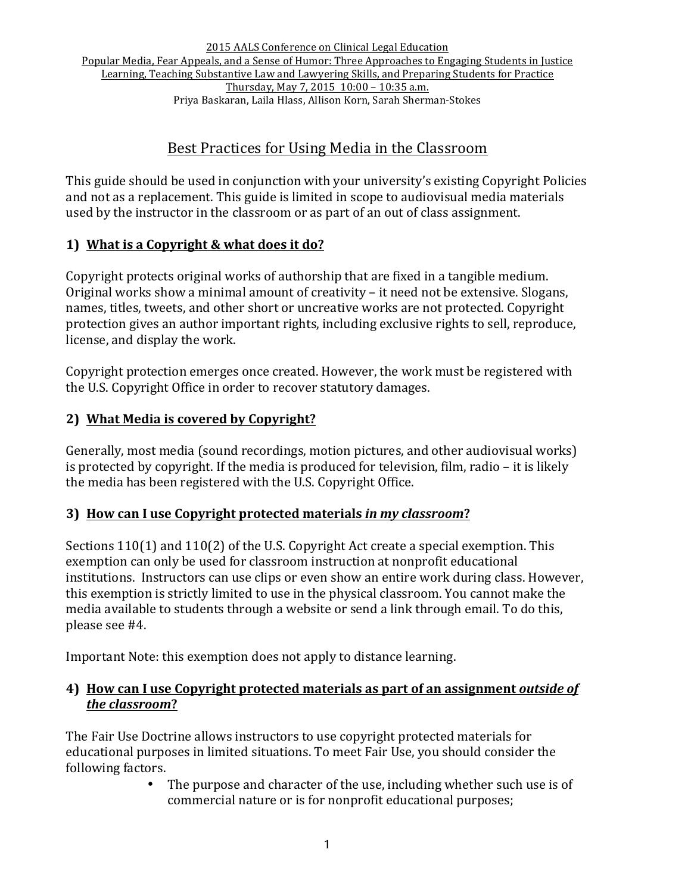# Best Practices for Using Media in the Classroom

This guide should be used in conjunction with your university's existing Copyright Policies and not as a replacement. This guide is limited in scope to audiovisual media materials used by the instructor in the classroom or as part of an out of class assignment.

# **1)** What is a Copyright & what does it do?

Copyright protects original works of authorship that are fixed in a tangible medium. Original works show a minimal amount of creativity – it need not be extensive. Slogans, names, titles, tweets, and other short or uncreative works are not protected. Copyright protection gives an author important rights, including exclusive rights to sell, reproduce, license, and display the work.

Copyright protection emerges once created. However, the work must be registered with the U.S. Copyright Office in order to recover statutory damages.

# **2) What Media is covered by Copyright?**

Generally, most media (sound recordings, motion pictures, and other audiovisual works) is protected by copyright. If the media is produced for television, film, radio  $-$  it is likely the media has been registered with the U.S. Copyright Office.

# **3)** How can I use Copyright protected materials in my classroom?

Sections  $110(1)$  and  $110(2)$  of the U.S. Copyright Act create a special exemption. This exemption can only be used for classroom instruction at nonprofit educational institutions. Instructors can use clips or even show an entire work during class. However, this exemption is strictly limited to use in the physical classroom. You cannot make the media available to students through a website or send a link through email. To do this, please see #4. 

Important Note: this exemption does not apply to distance learning.

### **4)** How can I use Copyright protected materials as part of an assignment *outside* of *the classroom***?**

The Fair Use Doctrine allows instructors to use copyright protected materials for educational purposes in limited situations. To meet Fair Use, you should consider the following factors.

The purpose and character of the use, including whether such use is of commercial nature or is for nonprofit educational purposes;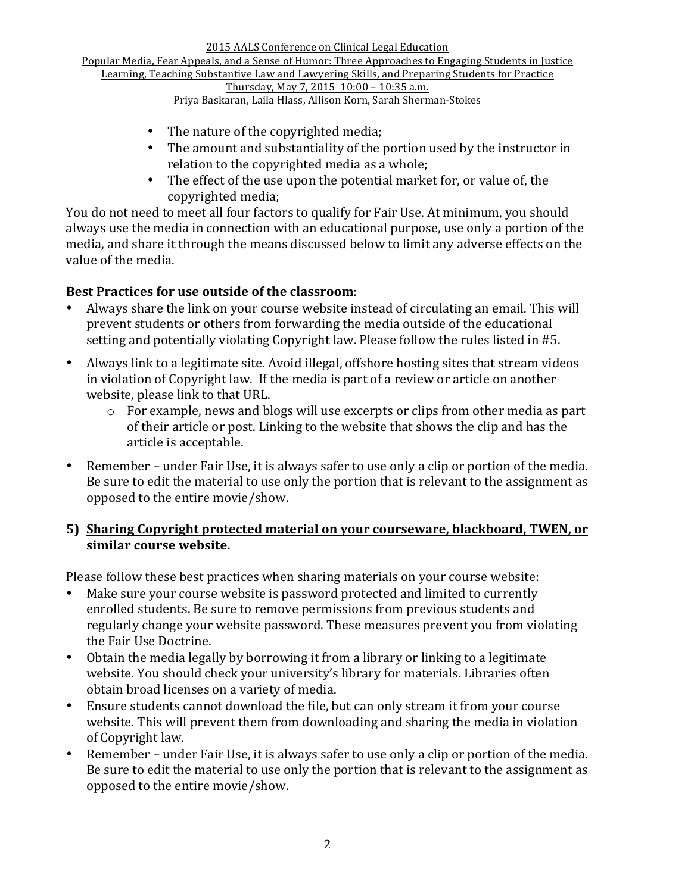2015 AALS Conference on Clinical Legal Education Popular Media, Fear Appeals, and a Sense of Humor: Three Approaches to Engaging Students in Justice Learning, Teaching Substantive Law and Lawyering Skills, and Preparing Students for Practice Thursday, May 7, 2015 10:00 - 10:35 a.m.

Priya Baskaran, Laila Hlass, Allison Korn, Sarah Sherman-Stokes

- The nature of the copyrighted media;
- The amount and substantiality of the portion used by the instructor in relation to the copyrighted media as a whole;
- The effect of the use upon the potential market for, or value of, the copyrighted media:

You do not need to meet all four factors to qualify for Fair Use. At minimum, you should always use the media in connection with an educational purpose, use only a portion of the media, and share it through the means discussed below to limit any adverse effects on the value of the media.

#### Best Practices for use outside of the classroom:

- Always share the link on your course website instead of circulating an email. This will prevent students or others from forwarding the media outside of the educational setting and potentially violating Copyright law. Please follow the rules listed in #5.
- Always link to a legitimate site. Avoid illegal, offshore hosting sites that stream videos in violation of Copyright law. If the media is part of a review or article on another website, please link to that URL.
	- $\circ$  For example, news and blogs will use excerpts or clips from other media as part of their article or post. Linking to the website that shows the clip and has the article is acceptable.
- Remember under Fair Use, it is always safer to use only a clip or portion of the media. Be sure to edit the material to use only the portion that is relevant to the assignment as opposed to the entire movie/show.

#### **5)** Sharing Copyright protected material on your courseware, blackboard, TWEN, or **similar course website.**

Please follow these best practices when sharing materials on your course website:

- Make sure your course website is password protected and limited to currently enrolled students. Be sure to remove permissions from previous students and regularly change your website password. These measures prevent you from violating the Fair Use Doctrine.
- Obtain the media legally by borrowing it from a library or linking to a legitimate website. You should check your university's library for materials. Libraries often obtain broad licenses on a variety of media.
- Ensure students cannot download the file, but can only stream it from your course website. This will prevent them from downloading and sharing the media in violation of Copyright law.
- Remember under Fair Use, it is always safer to use only a clip or portion of the media. Be sure to edit the material to use only the portion that is relevant to the assignment as opposed to the entire movie/show.